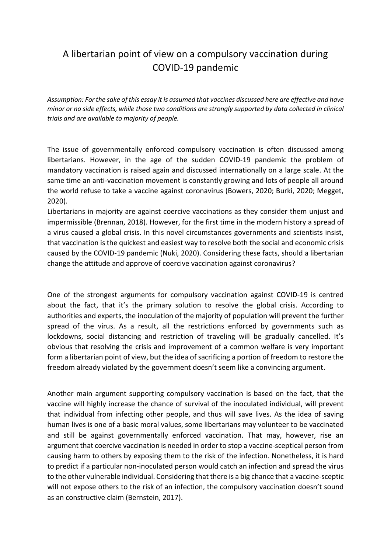## A libertarian point of view on a compulsory vaccination during COVID-19 pandemic

*Assumption: For the sake of this essay it is assumed that vaccines discussed here are effective and have minor or no side effects, while those two conditions are strongly supported by data collected in clinical trials and are available to majority of people.*

The issue of governmentally enforced compulsory vaccination is often discussed among libertarians. However, in the age of the sudden COVID-19 pandemic the problem of mandatory vaccination is raised again and discussed internationally on a large scale. At the same time an anti-vaccination movement is constantly growing and lots of people all around the world refuse to take a vaccine against coronavirus (Bowers, 2020; Burki, 2020; Megget, 2020).

Libertarians in majority are against coercive vaccinations as they consider them unjust and impermissible (Brennan, 2018). However, for the first time in the modern history a spread of a virus caused a global crisis. In this novel circumstances governments and scientists insist, that vaccination is the quickest and easiest way to resolve both the social and economic crisis caused by the COVID-19 pandemic (Nuki, 2020). Considering these facts, should a libertarian change the attitude and approve of coercive vaccination against coronavirus?

One of the strongest arguments for compulsory vaccination against COVID-19 is centred about the fact, that it's the primary solution to resolve the global crisis. According to authorities and experts, the inoculation of the majority of population will prevent the further spread of the virus. As a result, all the restrictions enforced by governments such as lockdowns, social distancing and restriction of traveling will be gradually cancelled. It's obvious that resolving the crisis and improvement of a common welfare is very important form a libertarian point of view, but the idea of sacrificing a portion of freedom to restore the freedom already violated by the government doesn't seem like a convincing argument.

Another main argument supporting compulsory vaccination is based on the fact, that the vaccine will highly increase the chance of survival of the inoculated individual, will prevent that individual from infecting other people, and thus will save lives. As the idea of saving human lives is one of a basic moral values, some libertarians may volunteer to be vaccinated and still be against governmentally enforced vaccination. That may, however, rise an argument that coercive vaccination is needed in order to stop a vaccine-sceptical person from causing harm to others by exposing them to the risk of the infection. Nonetheless, it is hard to predict if a particular non-inoculated person would catch an infection and spread the virus to the other vulnerable individual. Considering that there is a big chance that a vaccine-sceptic will not expose others to the risk of an infection, the compulsory vaccination doesn't sound as an constructive claim (Bernstein, 2017).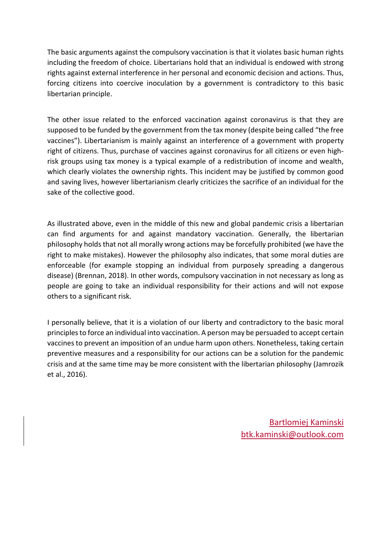The basic arguments against the compulsory vaccination is that it violates basic human rights including the freedom of choice. Libertarians hold that an individual is endowed with strong rights against external interference in her personal and economic decision and actions. Thus, forcing citizens into coercive inoculation by a government is contradictory to this basic libertarian principle.

The other issue related to the enforced vaccination against coronavirus is that they are supposed to be funded by the government from the tax money (despite being called "the free vaccines"). Libertarianism is mainly against an interference of a government with property right of citizens. Thus, purchase of vaccines against coronavirus for all citizens or even highrisk groups using tax money is a typical example of a redistribution of income and wealth, which clearly violates the ownership rights. This incident may be justified by common good and saving lives, however libertarianism clearly criticizes the sacrifice of an individual for the sake of the collective good.

As illustrated above, even in the middle of this new and global pandemic crisis a libertarian can find arguments for and against mandatory vaccination. Generally, the libertarian philosophy holds that not all morally wrong actions may be forcefully prohibited (we have the right to make mistakes). However the philosophy also indicates, that some moral duties are enforceable (for example stopping an individual from purposely spreading a dangerous disease) (Brennan, 2018). In other words, compulsory vaccination in not necessary as long as people are going to take an individual responsibility for their actions and will not expose others to a significant risk.

I personally believe, that it is a violation of our liberty and contradictory to the basic moral principlesto force an individual into vaccination. A person may be persuaded to accept certain vaccines to prevent an imposition of an undue harm upon others. Nonetheless, taking certain preventive measures and a responsibility for our actions can be a solution for the pandemic crisis and at the same time may be more consistent with the libertarian philosophy (Jamrozik et al., 2016).

> Bartlomiej Kaminski btk.kaminski@outlook.com